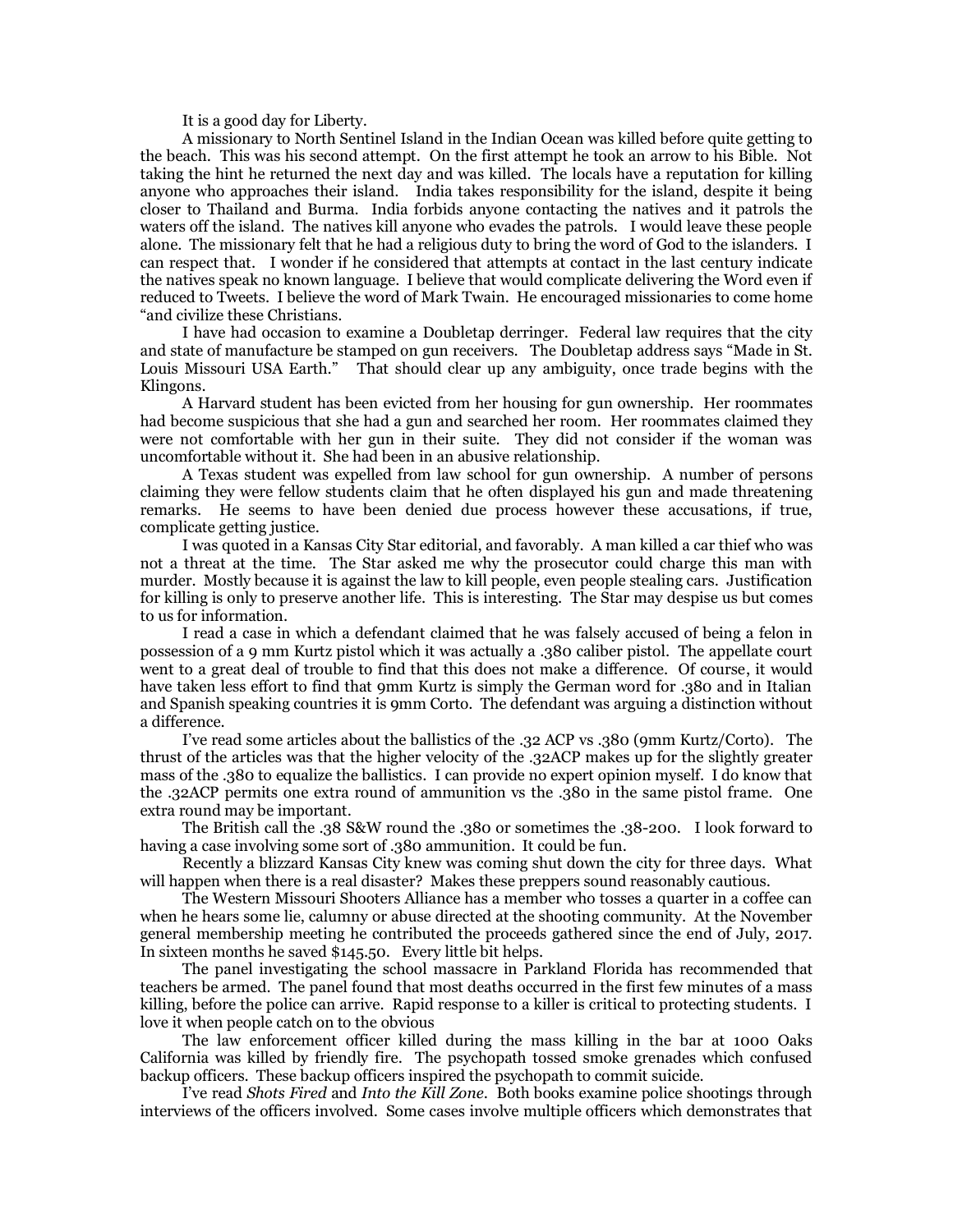It is a good day for Liberty.

A missionary to North Sentinel Island in the Indian Ocean was killed before quite getting to the beach. This was his second attempt. On the first attempt he took an arrow to his Bible. Not taking the hint he returned the next day and was killed. The locals have a reputation for killing anyone who approaches their island. India takes responsibility for the island, despite it being closer to Thailand and Burma. India forbids anyone contacting the natives and it patrols the waters off the island. The natives kill anyone who evades the patrols. I would leave these people alone. The missionary felt that he had a religious duty to bring the word of God to the islanders. I can respect that. I wonder if he considered that attempts at contact in the last century indicate the natives speak no known language. I believe that would complicate delivering the Word even if reduced to Tweets. I believe the word of Mark Twain. He encouraged missionaries to come home "and civilize these Christians.

I have had occasion to examine a Doubletap derringer. Federal law requires that the city and state of manufacture be stamped on gun receivers. The Doubletap address says "Made in St. Louis Missouri USA Earth." That should clear up any ambiguity, once trade begins with the Klingons.

A Harvard student has been evicted from her housing for gun ownership. Her roommates had become suspicious that she had a gun and searched her room. Her roommates claimed they were not comfortable with her gun in their suite. They did not consider if the woman was uncomfortable without it. She had been in an abusive relationship.

A Texas student was expelled from law school for gun ownership. A number of persons claiming they were fellow students claim that he often displayed his gun and made threatening remarks. He seems to have been denied due process however these accusations, if true, complicate getting justice.

I was quoted in a Kansas City Star editorial, and favorably. A man killed a car thief who was not a threat at the time. The Star asked me why the prosecutor could charge this man with murder. Mostly because it is against the law to kill people, even people stealing cars. Justification for killing is only to preserve another life. This is interesting. The Star may despise us but comes to us for information.

I read a case in which a defendant claimed that he was falsely accused of being a felon in possession of a 9 mm Kurtz pistol which it was actually a .380 caliber pistol. The appellate court went to a great deal of trouble to find that this does not make a difference. Of course, it would have taken less effort to find that 9mm Kurtz is simply the German word for .380 and in Italian and Spanish speaking countries it is 9mm Corto. The defendant was arguing a distinction without a difference.

I've read some articles about the ballistics of the .32 ACP vs .380 (9mm Kurtz/Corto). The thrust of the articles was that the higher velocity of the .32ACP makes up for the slightly greater mass of the .380 to equalize the ballistics. I can provide no expert opinion myself. I do know that the .32ACP permits one extra round of ammunition vs the .380 in the same pistol frame. One extra round may be important.

The British call the .38 S&W round the .380 or sometimes the .38-200. I look forward to having a case involving some sort of .380 ammunition. It could be fun.

Recently a blizzard Kansas City knew was coming shut down the city for three days. What will happen when there is a real disaster? Makes these preppers sound reasonably cautious.

The Western Missouri Shooters Alliance has a member who tosses a quarter in a coffee can when he hears some lie, calumny or abuse directed at the shooting community. At the November general membership meeting he contributed the proceeds gathered since the end of July, 2017. In sixteen months he saved \$145.50. Every little bit helps.

The panel investigating the school massacre in Parkland Florida has recommended that teachers be armed. The panel found that most deaths occurred in the first few minutes of a mass killing, before the police can arrive. Rapid response to a killer is critical to protecting students. I love it when people catch on to the obvious

The law enforcement officer killed during the mass killing in the bar at 1000 Oaks California was killed by friendly fire. The psychopath tossed smoke grenades which confused backup officers. These backup officers inspired the psychopath to commit suicide.

I've read *Shots Fired* and *Into the Kill Zone*. Both books examine police shootings through interviews of the officers involved. Some cases involve multiple officers which demonstrates that